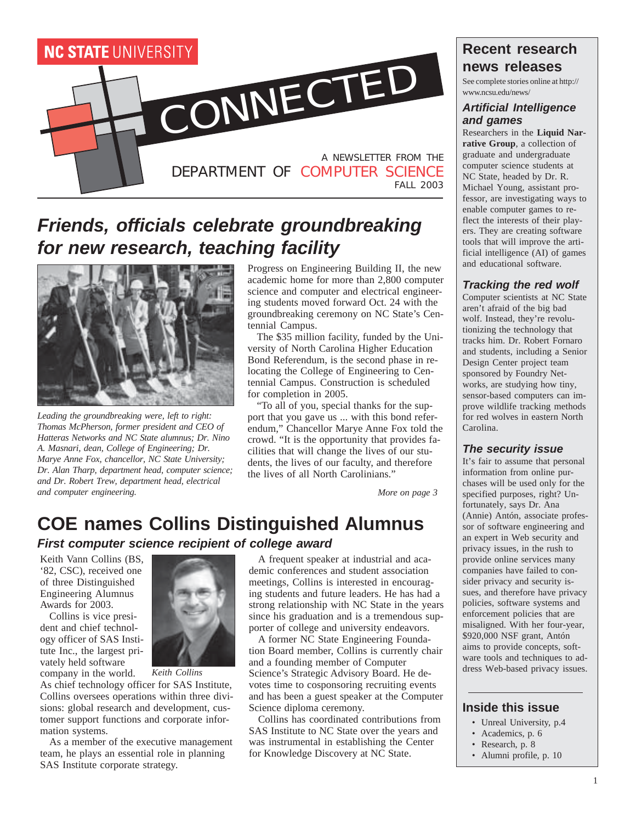

# **Friends, officials celebrate groundbreaking for new research, teaching facility**



*Leading the groundbreaking were, left to right: Thomas McPherson, former president and CEO of Hatteras Networks and NC State alumnus; Dr. Nino A. Masnari, dean, College of Engineering; Dr. Marye Anne Fox, chancellor, NC State University; Dr. Alan Tharp, department head, computer science; and Dr. Robert Trew, department head, electrical and computer engineering.*

Progress on Engineering Building II, the new academic home for more than 2,800 computer science and computer and electrical engineering students moved forward Oct. 24 with the groundbreaking ceremony on NC State's Centennial Campus.

The \$35 million facility, funded by the University of North Carolina Higher Education Bond Referendum, is the second phase in relocating the College of Engineering to Centennial Campus. Construction is scheduled for completion in 2005.

"To all of you, special thanks for the support that you gave us ... with this bond referendum," Chancellor Marye Anne Fox told the crowd. "It is the opportunity that provides facilities that will change the lives of our students, the lives of our faculty, and therefore the lives of all North Carolinians."

*More on page 3*

# **COE names Collins Distinguished Alumnus**

**First computer science recipient of college award**

Keith Vann Collins (BS, '82, CSC), received one of three Distinguished Engineering Alumnus Awards for 2003.

Collins is vice president and chief technology officer of SAS Institute Inc., the largest privately held software company in the world.



*Keith Collins*

As chief technology officer for SAS Institute, Collins oversees operations within three divisions: global research and development, customer support functions and corporate information systems.

As a member of the executive management team, he plays an essential role in planning SAS Institute corporate strategy.

A frequent speaker at industrial and academic conferences and student association meetings, Collins is interested in encouraging students and future leaders. He has had a strong relationship with NC State in the years since his graduation and is a tremendous supporter of college and university endeavors.

A former NC State Engineering Foundation Board member, Collins is currently chair and a founding member of Computer Science's Strategic Advisory Board. He devotes time to cosponsoring recruiting events and has been a guest speaker at the Computer Science diploma ceremony.

Collins has coordinated contributions from SAS Institute to NC State over the years and was instrumental in establishing the Center for Knowledge Discovery at NC State.

### **Recent research news releases**

See complete stories online at http:// www.ncsu.edu/news/

#### **Artificial Intelligence and games**

Researchers in the **Liquid Narrative Group**, a collection of graduate and undergraduate computer science students at NC State, headed by Dr. R. Michael Young, assistant professor, are investigating ways to enable computer games to reflect the interests of their players. They are creating software tools that will improve the artificial intelligence (AI) of games and educational software.

#### **Tracking the red wolf**

Computer scientists at NC State aren't afraid of the big bad wolf. Instead, they're revolutionizing the technology that tracks him. Dr. Robert Fornaro and students, including a Senior Design Center project team sponsored by Foundry Networks, are studying how tiny, sensor-based computers can improve wildlife tracking methods for red wolves in eastern North Carolina.

#### **The security issue**

It's fair to assume that personal information from online purchases will be used only for the specified purposes, right? Unfortunately, says Dr. Ana (Annie) Antón, associate professor of software engineering and an expert in Web security and privacy issues, in the rush to provide online services many companies have failed to consider privacy and security issues, and therefore have privacy policies, software systems and enforcement policies that are misaligned. With her four-year, \$920,000 NSF grant, Antón aims to provide concepts, software tools and techniques to address Web-based privacy issues.

#### **Inside this issue**

- Unreal University, p.4
- Academics, p. 6
- Research, p. 8
- Alumni profile, p. 10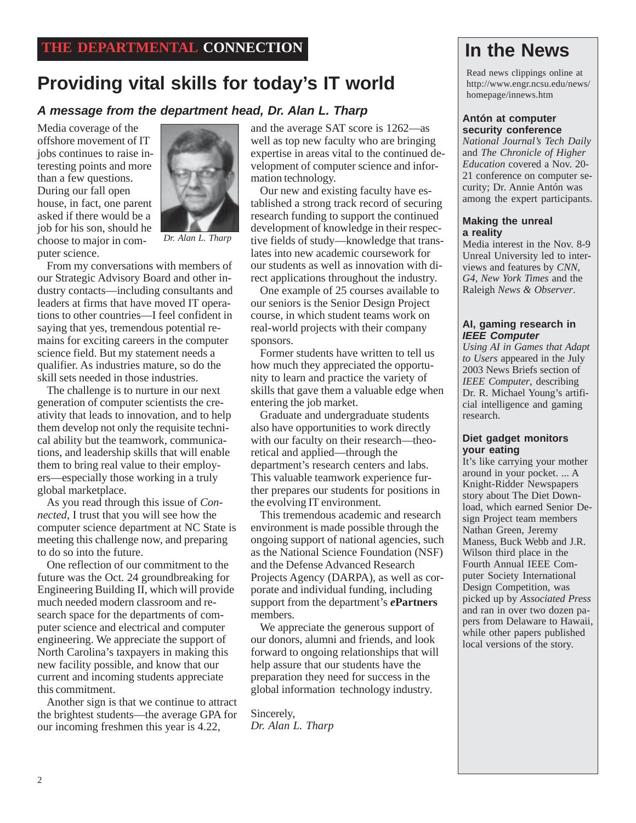# **Providing vital skills for today's IT world**

## **A message from the department head, Dr. Alan L. Tharp Antón at computer**

Media coverage of the offshore movement of IT jobs continues to raise interesting points and more than a few questions. During our fall open house, in fact, one parent asked if there would be a job for his son, should he choose to major in computer science.



*Dr. Alan L. Tharp*

From my conversations with members of our Strategic Advisory Board and other industry contacts—including consultants and leaders at firms that have moved IT operations to other countries—I feel confident in saying that yes, tremendous potential remains for exciting careers in the computer science field. But my statement needs a qualifier. As industries mature, so do the skill sets needed in those industries.

The challenge is to nurture in our next generation of computer scientists the creativity that leads to innovation, and to help them develop not only the requisite technical ability but the teamwork, communications, and leadership skills that will enable them to bring real value to their employers—especially those working in a truly global marketplace.

As you read through this issue of *Connected*, I trust that you will see how the computer science department at NC State is meeting this challenge now, and preparing to do so into the future.

One reflection of our commitment to the future was the Oct. 24 groundbreaking for Engineering Building II, which will provide much needed modern classroom and research space for the departments of computer science and electrical and computer engineering. We appreciate the support of North Carolina's taxpayers in making this new facility possible, and know that our current and incoming students appreciate this commitment.

Another sign is that we continue to attract the brightest students—the average GPA for our incoming freshmen this year is 4.22,

and the average SAT score is 1262—as well as top new faculty who are bringing expertise in areas vital to the continued development of computer science and information technology.

Our new and existing faculty have established a strong track record of securing research funding to support the continued development of knowledge in their respective fields of study—knowledge that translates into new academic coursework for our students as well as innovation with direct applications throughout the industry.

One example of 25 courses available to our seniors is the Senior Design Project course, in which student teams work on real-world projects with their company sponsors.

Former students have written to tell us how much they appreciated the opportunity to learn and practice the variety of skills that gave them a valuable edge when entering the job market.

Graduate and undergraduate students also have opportunities to work directly with our faculty on their research—theoretical and applied—through the department's research centers and labs. This valuable teamwork experience further prepares our students for positions in the evolving IT environment.

This tremendous academic and research environment is made possible through the ongoing support of national agencies, such as the National Science Foundation (NSF) and the Defense Advanced Research Projects Agency (DARPA), as well as corporate and individual funding, including support from the department's *e***Partners** members.

We appreciate the generous support of our donors, alumni and friends, and look forward to ongoing relationships that will help assure that our students have the preparation they need for success in the global information technology industry.

Sincerely, *Dr. Alan L. Tharp*

# **In the News**

Read news clippings online at http://www.engr.ncsu.edu/news/ homepage/innews.htm

# **security conference**

*National Journal's Tech Daily* and *The Chronicle of Higher Education* covered a Nov. 20- 21 conference on computer security; Dr. Annie Antón was among the expert participants.

#### **Making the unreal a reality**

Media interest in the Nov. 8-9 Unreal University led to interviews and features by *CNN*, *G4*, *New York Times* and the Raleigh *News & Observer*.

#### **AI, gaming research in IEEE Computer**

*Using AI in Games that Adapt to Users* appeared in the July 2003 News Briefs section of *IEEE Computer*, describing Dr. R. Michael Young's artificial intelligence and gaming research.

#### **Diet gadget monitors your eating**

It's like carrying your mother around in your pocket. ... A Knight-Ridder Newspapers story about The Diet Download, which earned Senior Design Project team members Nathan Green, Jeremy Maness, Buck Webb and J.R. Wilson third place in the Fourth Annual IEEE Computer Society International Design Competition, was picked up by *Associated Press* and ran in over two dozen papers from Delaware to Hawaii, while other papers published local versions of the story.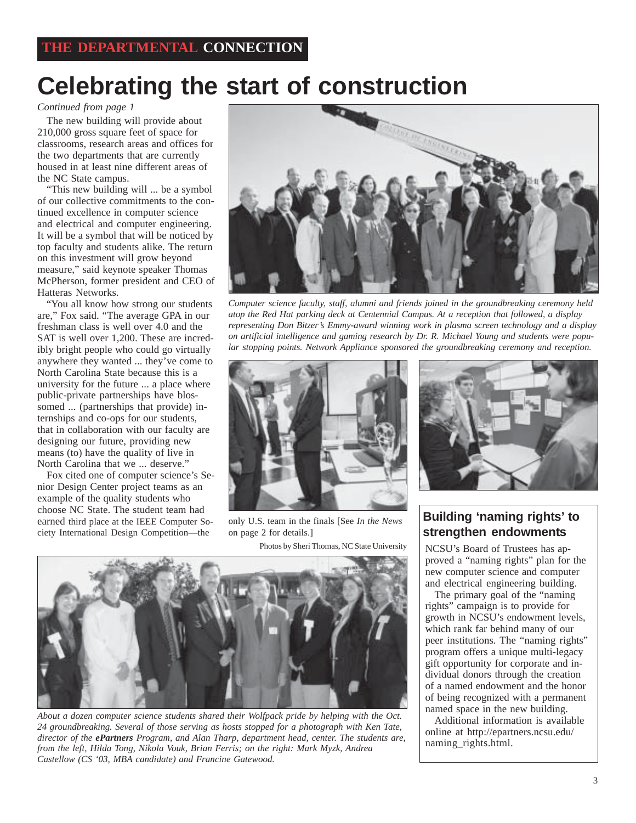# **Celebrating the start of construction**

*Continued from page 1*

The new building will provide about 210,000 gross square feet of space for classrooms, research areas and offices for the two departments that are currently housed in at least nine different areas of the NC State campus.

"This new building will ... be a symbol of our collective commitments to the continued excellence in computer science and electrical and computer engineering. It will be a symbol that will be noticed by top faculty and students alike. The return on this investment will grow beyond measure," said keynote speaker Thomas McPherson, former president and CEO of Hatteras Networks.

"You all know how strong our students are," Fox said. "The average GPA in our freshman class is well over 4.0 and the SAT is well over 1,200. These are incredibly bright people who could go virtually anywhere they wanted ... they've come to North Carolina State because this is a university for the future ... a place where public-private partnerships have blossomed ... (partnerships that provide) internships and co-ops for our students, that in collaboration with our faculty are designing our future, providing new means (to) have the quality of live in North Carolina that we ... deserve."

Fox cited one of computer science's Senior Design Center project teams as an example of the quality students who choose NC State. The student team had earned third place at the IEEE Computer Society International Design Competition—the



*Computer science faculty, staff, alumni and friends joined in the groundbreaking ceremony held atop the Red Hat parking deck at Centennial Campus. At a reception that followed, a display representing Don Bitzer's Emmy-award winning work in plasma screen technology and a display on artificial intelligence and gaming research by Dr. R. Michael Young and students were popular stopping points. Network Appliance sponsored the groundbreaking ceremony and reception.*



only U.S. team in the finals [See *In the News* on page 2 for details.]

Photos by Sheri Thomas, NC State University



*About a dozen computer science students shared their Wolfpack pride by helping with the Oct. 24 groundbreaking. Several of those serving as hosts stopped for a photograph with Ken Tate, director of the ePartners Program, and Alan Tharp, department head, center. The students are, from the left, Hilda Tong, Nikola Vouk, Brian Ferris; on the right: Mark Myzk, Andrea Castellow (CS '03, MBA candidate) and Francine Gatewood.*



#### **Building 'naming rights' to strengthen endowments**

NCSU's Board of Trustees has approved a "naming rights" plan for the new computer science and computer and electrical engineering building.

The primary goal of the "naming rights" campaign is to provide for growth in NCSU's endowment levels, which rank far behind many of our peer institutions. The "naming rights" program offers a unique multi-legacy gift opportunity for corporate and individual donors through the creation of a named endowment and the honor of being recognized with a permanent named space in the new building.

Additional information is available online at http://epartners.ncsu.edu/ naming\_rights.html.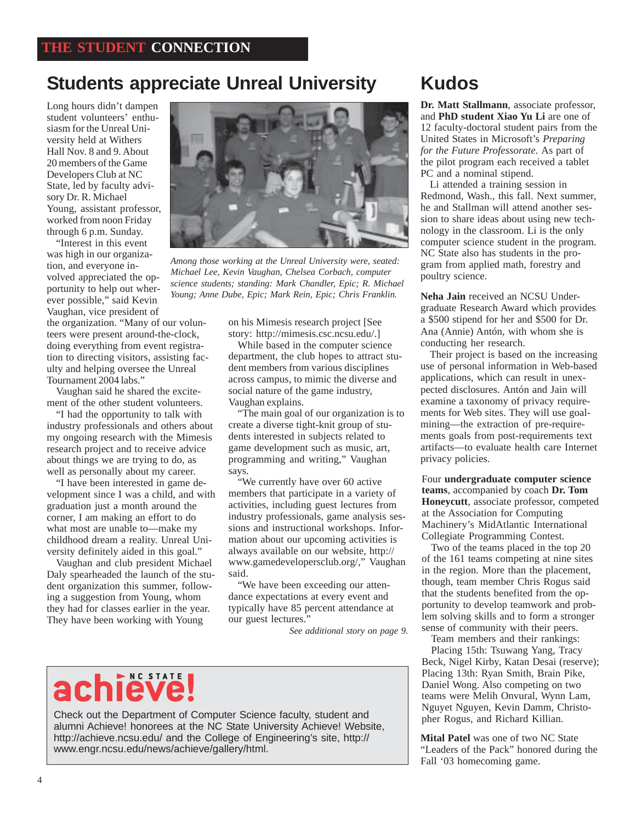# **Students appreciate Unreal University**

Long hours didn't dampen student volunteers' enthusiasm for the Unreal University held at Withers Hall Nov. 8 and 9. About 20 members of the Game Developers Club at NC State, led by faculty advisory Dr. R. Michael Young, assistant professor, worked from noon Friday through 6 p.m. Sunday.

"Interest in this event was high in our organization, and everyone involved appreciated the opportunity to help out wherever possible," said Kevin Vaughan, vice president of

the organization. "Many of our volunteers were present around-the-clock, doing everything from event registration to directing visitors, assisting faculty and helping oversee the Unreal Tournament 2004 labs."

Vaughan said he shared the excitement of the other student volunteers.

"I had the opportunity to talk with industry professionals and others about my ongoing research with the Mimesis research project and to receive advice about things we are trying to do, as well as personally about my career.

"I have been interested in game development since I was a child, and with graduation just a month around the corner, I am making an effort to do what most are unable to—make my childhood dream a reality. Unreal University definitely aided in this goal."

Vaughan and club president Michael Daly spearheaded the launch of the student organization this summer, following a suggestion from Young, whom they had for classes earlier in the year. They have been working with Young



*Among those working at the Unreal University were, seated: Michael Lee, Kevin Vaughan, Chelsea Corbach, computer science students; standing: Mark Chandler, Epic; R. Michael Young; Anne Dube, Epic; Mark Rein, Epic; Chris Franklin.*

on his Mimesis research project [See story: http://mimesis.csc.ncsu.edu/.]

While based in the computer science department, the club hopes to attract student members from various disciplines across campus, to mimic the diverse and social nature of the game industry, Vaughan explains.

"The main goal of our organization is to create a diverse tight-knit group of students interested in subjects related to game development such as music, art, programming and writing," Vaughan says.

"We currently have over 60 active members that participate in a variety of activities, including guest lectures from industry professionals, game analysis sessions and instructional workshops. Information about our upcoming activities is always available on our website, http:// www.gamedevelopersclub.org/," Vaughan said.

"We have been exceeding our attendance expectations at every event and typically have 85 percent attendance at our guest lectures."

*See additional story on page 9.*

# achieve!

Check out the Department of Computer Science faculty, student and alumni Achieve! honorees at the NC State University Achieve! Website, http://achieve.ncsu.edu/ and the College of Engineering's site, http:// www.engr.ncsu.edu/news/achieve/gallery/html.

# **Kudos**

**Dr. Matt Stallmann**, associate professor, and **PhD student Xiao Yu Li** are one of 12 faculty-doctoral student pairs from the United States in Microsoft's *Preparing for the Future Professorate*. As part of the pilot program each received a tablet PC and a nominal stipend.

Li attended a training session in Redmond, Wash., this fall. Next summer, he and Stallman will attend another session to share ideas about using new technology in the classroom. Li is the only computer science student in the program. NC State also has students in the program from applied math, forestry and poultry science.

**Neha Jain** received an NCSU Undergraduate Research Award which provides a \$500 stipend for her and \$500 for Dr. Ana (Annie) Antón, with whom she is conducting her research.

Their project is based on the increasing use of personal information in Web-based applications, which can result in unexpected disclosures. Antón and Jain will examine a taxonomy of privacy requirements for Web sites. They will use goalmining—the extraction of pre-requirements goals from post-requirements text artifacts—to evaluate health care Internet privacy policies.

Four **undergraduate computer science teams**, accompanied by coach **Dr. Tom Honeycutt**, associate professor, competed at the Association for Computing Machinery's MidAtlantic International Collegiate Programming Contest.

Two of the teams placed in the top 20 of the 161 teams competing at nine sites in the region. More than the placement, though, team member Chris Rogus said that the students benefited from the opportunity to develop teamwork and problem solving skills and to form a stronger sense of community with their peers.

Team members and their rankings:

Placing 15th: Tsuwang Yang, Tracy Beck, Nigel Kirby, Katan Desai (reserve); Placing 13th: Ryan Smith, Brain Pike, Daniel Wong. Also competing on two teams were Melih Onvural, Wynn Lam, Nguyet Nguyen, Kevin Damm, Christopher Rogus, and Richard Killian.

**Mital Patel** was one of two NC State "Leaders of the Pack" honored during the Fall '03 homecoming game.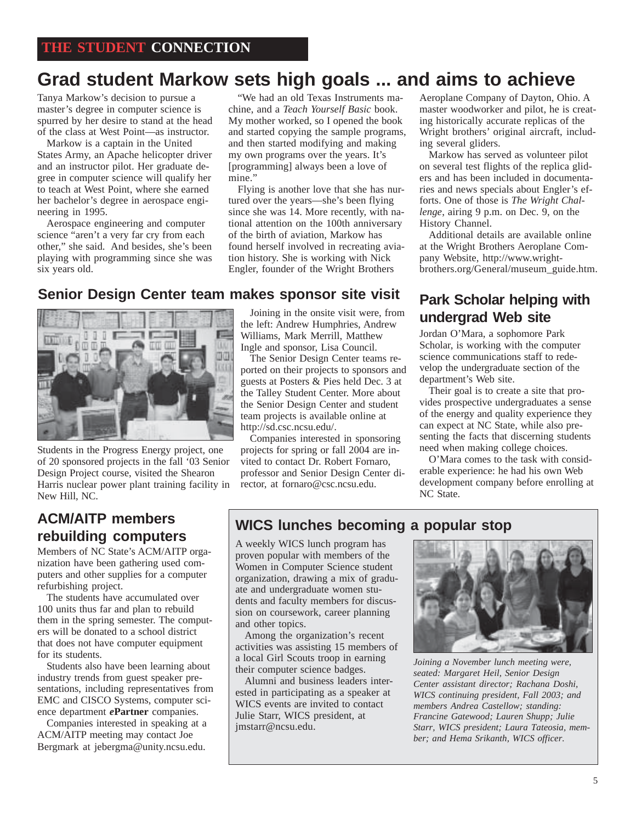# **Grad student Markow sets high goals ... and aims to achieve**

Tanya Markow's decision to pursue a master's degree in computer science is spurred by her desire to stand at the head of the class at West Point—as instructor.

Markow is a captain in the United States Army, an Apache helicopter driver and an instructor pilot. Her graduate degree in computer science will qualify her to teach at West Point, where she earned her bachelor's degree in aerospace engineering in 1995.

Aerospace engineering and computer science "aren't a very far cry from each other," she said. And besides, she's been playing with programming since she was six years old.

"We had an old Texas Instruments machine, and a *Teach Yourself Basic* book. My mother worked, so I opened the book and started copying the sample programs, and then started modifying and making my own programs over the years. It's [programming] always been a love of mine."

Flying is another love that she has nurtured over the years—she's been flying since she was 14. More recently, with national attention on the 100th anniversary of the birth of aviation, Markow has found herself involved in recreating aviation history. She is working with Nick Engler, founder of the Wright Brothers

**Senior Design Center team makes sponsor site visit Park Scholar helping with**



Students in the Progress Energy project, one of 20 sponsored projects in the fall '03 Senior Design Project course, visited the Shearon Harris nuclear power plant training facility in New Hill, NC.

# **rebuilding computers**

Members of NC State's ACM/AITP organization have been gathering used computers and other supplies for a computer refurbishing project.

The students have accumulated over 100 units thus far and plan to rebuild them in the spring semester. The computers will be donated to a school district that does not have computer equipment for its students.

Students also have been learning about industry trends from guest speaker presentations, including representatives from EMC and CISCO Systems, computer science department *e***Partner** companies.

Companies interested in speaking at a ACM/AITP meeting may contact Joe Bergmark at jebergma@unity.ncsu.edu.

Joining in the onsite visit were, from **undergrad Web site** the left: Andrew Humphries, Andrew Williams, Mark Merrill, Matthew Ingle and sponsor, Lisa Council.

The Senior Design Center teams reported on their projects to sponsors and guests at Posters & Pies held Dec. 3 at the Talley Student Center. More about the Senior Design Center and student team projects is available online at http://sd.csc.ncsu.edu/.

Companies interested in sponsoring projects for spring or fall 2004 are invited to contact Dr. Robert Fornaro, professor and Senior Design Center director, at fornaro@csc.ncsu.edu.

Aeroplane Company of Dayton, Ohio. A master woodworker and pilot, he is creating historically accurate replicas of the Wright brothers' original aircraft, including several gliders.

Markow has served as volunteer pilot on several test flights of the replica gliders and has been included in documentaries and news specials about Engler's efforts. One of those is *The Wright Challenge*, airing 9 p.m. on Dec. 9, on the History Channel.

Additional details are available online at the Wright Brothers Aeroplane Company Website, http://www.wrightbrothers.org/General/museum\_guide.htm.

Jordan O'Mara, a sophomore Park Scholar, is working with the computer science communications staff to redevelop the undergraduate section of the department's Web site.

Their goal is to create a site that provides prospective undergraduates a sense of the energy and quality experience they can expect at NC State, while also presenting the facts that discerning students need when making college choices.

O'Mara comes to the task with considerable experience: he had his own Web development company before enrolling at NC State.

# **WICS lunches becoming a popular stop ACM/AITP members**

A weekly WICS lunch program has proven popular with members of the Women in Computer Science student organization, drawing a mix of graduate and undergraduate women students and faculty members for discussion on coursework, career planning and other topics.

Among the organization's recent activities was assisting 15 members of a local Girl Scouts troop in earning their computer science badges.

Alumni and business leaders interested in participating as a speaker at WICS events are invited to contact Julie Starr, WICS president, at jmstarr@ncsu.edu.



*Joining a November lunch meeting were, seated: Margaret Heil, Senior Design Center assistant director; Rachana Doshi, WICS continuing president, Fall 2003; and members Andrea Castellow; standing: Francine Gatewood; Lauren Shupp; Julie Starr, WICS president; Laura Tateosia, member; and Hema Srikanth, WICS officer.*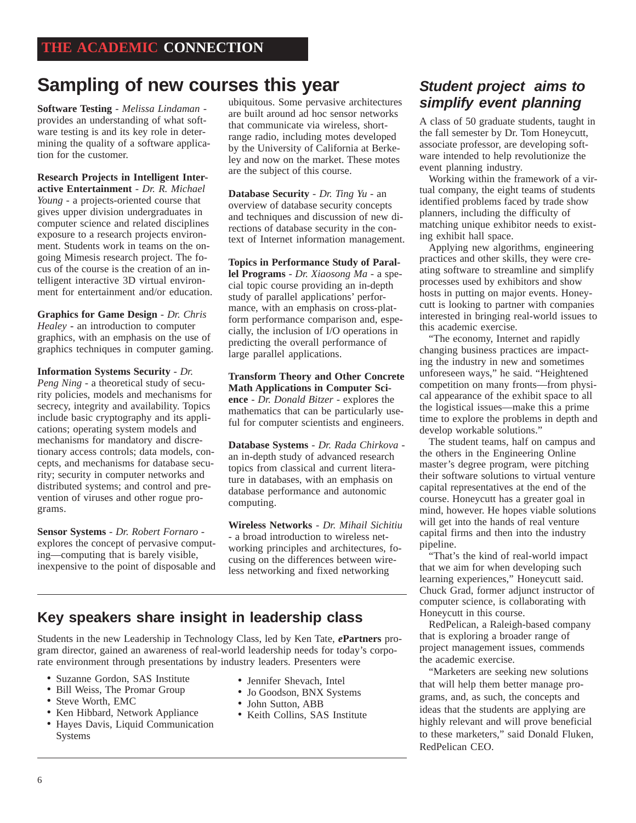# **Sampling of new courses this year**

**Software Testing** - *Melissa Lindaman*  provides an understanding of what software testing is and its key role in determining the quality of a software application for the customer.

**Research Projects in Intelligent Interactive Entertainment** - *Dr. R. Michael Young* - a projects-oriented course that gives upper division undergraduates in computer science and related disciplines exposure to a research projects environment. Students work in teams on the ongoing Mimesis research project. The focus of the course is the creation of an intelligent interactive 3D virtual environment for entertainment and/or education.

**Graphics for Game Design** - *Dr. Chris Healey* **-** an introduction to computer graphics, with an emphasis on the use of graphics techniques in computer gaming.

**Information Systems Security** - *Dr. Peng Ning* - a theoretical study of security policies, models and mechanisms for secrecy, integrity and availability. Topics include basic cryptography and its applications; operating system models and mechanisms for mandatory and discretionary access controls; data models, concepts, and mechanisms for database security; security in computer networks and distributed systems; and control and prevention of viruses and other rogue programs.

**Sensor Systems** - *Dr. Robert Fornaro*  explores the concept of pervasive computing—computing that is barely visible, inexpensive to the point of disposable and ubiquitous. Some pervasive architectures are built around ad hoc sensor networks that communicate via wireless, shortrange radio, including motes developed by the University of California at Berkeley and now on the market. These motes are the subject of this course.

**Database Security** - *Dr. Ting Yu* - an overview of database security concepts and techniques and discussion of new directions of database security in the context of Internet information management.

**Topics in Performance Study of Parallel Programs** - *Dr. Xiaosong Ma* - a special topic course providing an in-depth study of parallel applications' performance, with an emphasis on cross-platform performance comparison and, especially, the inclusion of I/O operations in predicting the overall performance of large parallel applications.

**Transform Theory and Other Concrete Math Applications in Computer Science** - *Dr. Donald Bitzer* - explores the mathematics that can be particularly useful for computer scientists and engineers.

**Database Systems** - *Dr. Rada Chirkova*  an in-depth study of advanced research topics from classical and current literature in databases, with an emphasis on database performance and autonomic computing.

**Wireless Networks** - *Dr. Mihail Sichitiu* - a broad introduction to wireless networking principles and architectures, focusing on the differences between wireless networking and fixed networking

### **Key speakers share insight in leadership class**

Students in the new Leadership in Technology Class, led by Ken Tate, *e***Partners** program director, gained an awareness of real-world leadership needs for today's corporate environment through presentations by industry leaders. Presenters were

- Suzanne Gordon, SAS Institute
- Bill Weiss, The Promar Group
- Steve Worth, EMC
- Ken Hibbard, Network Appliance
- Hayes Davis, Liquid Communication Systems
- Jennifer Shevach, Intel
- Jo Goodson, BNX Systems
- John Sutton, ABB
- Keith Collins, SAS Institute

### **Student project aims to simplify event planning**

A class of 50 graduate students, taught in the fall semester by Dr. Tom Honeycutt, associate professor, are developing software intended to help revolutionize the event planning industry.

Working within the framework of a virtual company, the eight teams of students identified problems faced by trade show planners, including the difficulty of matching unique exhibitor needs to existing exhibit hall space.

Applying new algorithms, engineering practices and other skills, they were creating software to streamline and simplify processes used by exhibitors and show hosts in putting on major events. Honeycutt is looking to partner with companies interested in bringing real-world issues to this academic exercise.

"The economy, Internet and rapidly changing business practices are impacting the industry in new and sometimes unforeseen ways," he said. "Heightened competition on many fronts—from physical appearance of the exhibit space to all the logistical issues—make this a prime time to explore the problems in depth and develop workable solutions."

The student teams, half on campus and the others in the Engineering Online master's degree program, were pitching their software solutions to virtual venture capital representatives at the end of the course. Honeycutt has a greater goal in mind, however. He hopes viable solutions will get into the hands of real venture capital firms and then into the industry pipeline.

"That's the kind of real-world impact that we aim for when developing such learning experiences," Honeycutt said. Chuck Grad, former adjunct instructor of computer science, is collaborating with Honeycutt in this course.

RedPelican, a Raleigh-based company that is exploring a broader range of project management issues, commends the academic exercise.

"Marketers are seeking new solutions that will help them better manage programs, and, as such, the concepts and ideas that the students are applying are highly relevant and will prove beneficial to these marketers," said Donald Fluken, RedPelican CEO.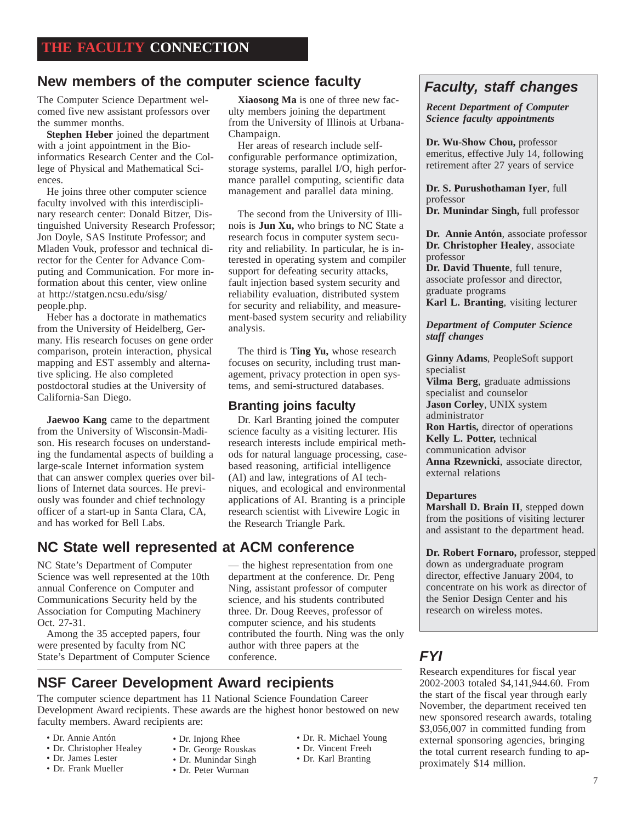## New members of the computer science faculty **Faculty**, staff changes

The Computer Science Department welcomed five new assistant professors over the summer months.

**Stephen Heber** joined the department with a joint appointment in the Bioinformatics Research Center and the College of Physical and Mathematical Sciences.

He joins three other computer science faculty involved with this interdisciplinary research center: Donald Bitzer, Distinguished University Research Professor; Jon Doyle, SAS Institute Professor; and Mladen Vouk, professor and technical director for the Center for Advance Computing and Communication. For more information about this center, view online at http://statgen.ncsu.edu/sisg/ people.php.

Heber has a doctorate in mathematics from the University of Heidelberg, Germany. His research focuses on gene order comparison, protein interaction, physical mapping and EST assembly and alternative splicing. He also completed postdoctoral studies at the University of California-San Diego.

**Jaewoo Kang** came to the department from the University of Wisconsin-Madison. His research focuses on understanding the fundamental aspects of building a large-scale Internet information system that can answer complex queries over billions of Internet data sources. He previously was founder and chief technology officer of a start-up in Santa Clara, CA, and has worked for Bell Labs.

#### **NC State well represented at ACM conference**

NC State's Department of Computer Science was well represented at the 10th annual Conference on Computer and Communications Security held by the Association for Computing Machinery Oct. 27-31.

Among the 35 accepted papers, four were presented by faculty from NC State's Department of Computer Science conference. **FYI** 

**Xiaosong Ma** is one of three new faculty members joining the department from the University of Illinois at Urbana-Champaign.

Her areas of research include selfconfigurable performance optimization, storage systems, parallel I/O, high performance parallel computing, scientific data management and parallel data mining.

The second from the University of Illinois is **Jun Xu,** who brings to NC State a research focus in computer system security and reliability. In particular, he is interested in operating system and compiler support for defeating security attacks, fault injection based system security and reliability evaluation, distributed system for security and reliability, and measurement-based system security and reliability analysis.

The third is **Ting Yu,** whose research focuses on security, including trust management, privacy protection in open systems, and semi-structured databases.

#### **Branting joins faculty**

Dr. Karl Branting joined the computer science faculty as a visiting lecturer. His research interests include empirical methods for natural language processing, casebased reasoning, artificial intelligence (AI) and law, integrations of AI techniques, and ecological and environmental applications of AI. Branting is a principle research scientist with Livewire Logic in the Research Triangle Park.

— the highest representation from one department at the conference. Dr. Peng Ning, assistant professor of computer science, and his students contributed three. Dr. Doug Reeves, professor of

computer science, and his students contributed the fourth. Ning was the only author with three papers at the conference.

#### **NSF Career Development Award recipients**

The computer science department has 11 National Science Foundation Career Development Award recipients. These awards are the highest honor bestowed on new faculty members. Award recipients are:

- Dr. Annie Antón
- Dr. Christopher Healey
- Dr. James Lester
- Dr. Frank Mueller
- Dr. Injong Rhee • Dr. George Rouskas • Dr. Munindar Singh
- Dr. R. Michael Young • Dr. Vincent Freeh
	- Dr. Karl Branting
- Dr. Peter Wurman

**Dr. Wu-Show Chou,** professor emeritus, effective July 14, following retirement after 27 years of service

*Recent Department of Computer Science faculty appointments*

**Dr. S. Purushothaman Iyer**, full professor **Dr. Munindar Singh,** full professor

**Dr. Annie Antón**, associate professor **Dr. Christopher Healey**, associate professor

**Dr. David Thuente**, full tenure, associate professor and director, graduate programs **Karl L. Branting**, visiting lecturer

*Department of Computer Science staff changes*

**Ginny Adams**, PeopleSoft support specialist

**Vilma Berg**, graduate admissions specialist and counselor **Jason Corley**, UNIX system administrator **Ron Hartis,** director of operations **Kelly L. Potter,** technical communication advisor **Anna Rzewnicki**, associate director, external relations

#### **Departures**

**Marshall D. Brain II**, stepped down from the positions of visiting lecturer and assistant to the department head.

**Dr. Robert Fornaro,** professor, stepped down as undergraduate program director, effective January 2004, to concentrate on his work as director of the Senior Design Center and his research on wireless motes.

Research expenditures for fiscal year 2002-2003 totaled \$4,141,944.60. From the start of the fiscal year through early November, the department received ten new sponsored research awards, totaling \$3,056,007 in committed funding from external sponsoring agencies, bringing the total current research funding to approximately \$14 million.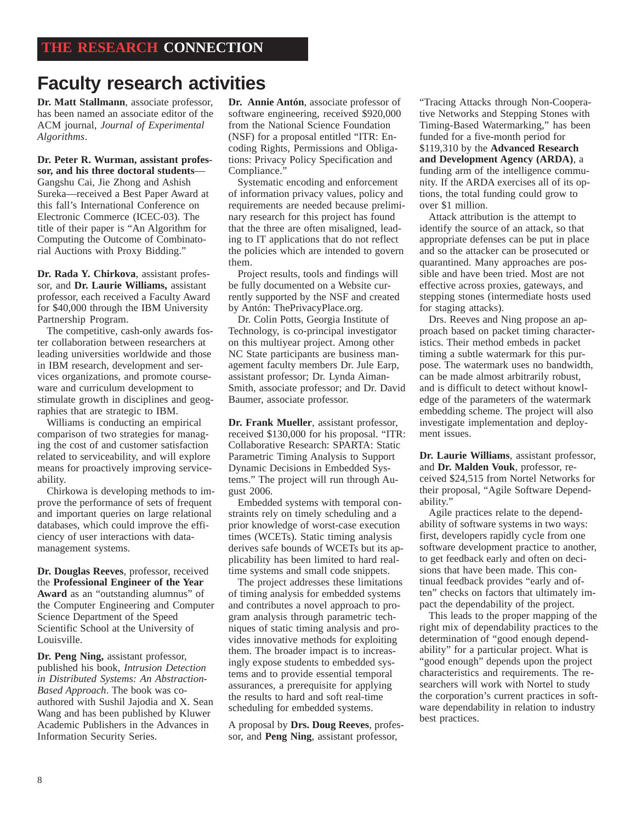# **Faculty research activities**

**Dr. Matt Stallmann**, associate professor, has been named an associate editor of the ACM journal, *Journal of Experimental Algorithms*.

**Dr. Peter R. Wurman, assistant professor, and his three doctoral students**— Gangshu Cai, Jie Zhong and Ashish Sureka—received a Best Paper Award at this fall's International Conference on Electronic Commerce (ICEC-03). The title of their paper is "An Algorithm for Computing the Outcome of Combinatorial Auctions with Proxy Bidding."

**Dr. Rada Y. Chirkova**, assistant professor, and **Dr. Laurie Williams,** assistant professor, each received a Faculty Award for \$40,000 through the IBM University Partnership Program.

The competitive, cash-only awards foster collaboration between researchers at leading universities worldwide and those in IBM research, development and services organizations, and promote courseware and curriculum development to stimulate growth in disciplines and geographies that are strategic to IBM.

Williams is conducting an empirical comparison of two strategies for managing the cost of and customer satisfaction related to serviceability, and will explore means for proactively improving serviceability.

Chirkowa is developing methods to improve the performance of sets of frequent and important queries on large relational databases, which could improve the efficiency of user interactions with datamanagement systems.

**Dr. Douglas Reeves**, professor, received the **Professional Engineer of the Year Award** as an "outstanding alumnus" of the Computer Engineering and Computer Science Department of the Speed Scientific School at the University of Louisville.

**Dr. Peng Ning,** assistant professor, published his book, *Intrusion Detection in Distributed Systems: An Abstraction-Based Approach*. The book was coauthored with Sushil Jajodia and X. Sean Wang and has been published by Kluwer Academic Publishers in the Advances in Information Security Series.

**Dr. Annie Antón**, associate professor of software engineering, received \$920,000 from the National Science Foundation (NSF) for a proposal entitled "ITR: Encoding Rights, Permissions and Obligations: Privacy Policy Specification and Compliance."

 Systematic encoding and enforcement of information privacy values, policy and requirements are needed because preliminary research for this project has found that the three are often misaligned, leading to IT applications that do not reflect the policies which are intended to govern them.

 Project results, tools and findings will be fully documented on a Website currently supported by the NSF and created by Antón: ThePrivacyPlace.org.

 Dr. Colin Potts, Georgia Institute of Technology, is co-principal investigator on this multiyear project. Among other NC State participants are business management faculty members Dr. Jule Earp, assistant professor; Dr. Lynda Aiman-Smith, associate professor; and Dr. David Baumer, associate professor.

**Dr. Frank Mueller**, assistant professor, received \$130,000 for his proposal. "ITR: Collaborative Research: SPARTA: Static Parametric Timing Analysis to Support Dynamic Decisions in Embedded Systems." The project will run through August 2006.

Embedded systems with temporal constraints rely on timely scheduling and a prior knowledge of worst-case execution times (WCETs). Static timing analysis derives safe bounds of WCETs but its applicability has been limited to hard realtime systems and small code snippets.

The project addresses these limitations of timing analysis for embedded systems and contributes a novel approach to program analysis through parametric techniques of static timing analysis and provides innovative methods for exploiting them. The broader impact is to increasingly expose students to embedded systems and to provide essential temporal assurances, a prerequisite for applying the results to hard and soft real-time scheduling for embedded systems.

A proposal by **Drs. Doug Reeves**, professor, and **Peng Ning**, assistant professor,

"Tracing Attacks through Non-Cooperative Networks and Stepping Stones with Timing-Based Watermarking," has been funded for a five-month period for \$119,310 by the **Advanced Research and Development Agency (ARDA)**, a funding arm of the intelligence community. If the ARDA exercises all of its options, the total funding could grow to over \$1 million.

Attack attribution is the attempt to identify the source of an attack, so that appropriate defenses can be put in place and so the attacker can be prosecuted or quarantined. Many approaches are possible and have been tried. Most are not effective across proxies, gateways, and stepping stones (intermediate hosts used for staging attacks).

Drs. Reeves and Ning propose an approach based on packet timing characteristics. Their method embeds in packet timing a subtle watermark for this purpose. The watermark uses no bandwidth, can be made almost arbitrarily robust, and is difficult to detect without knowledge of the parameters of the watermark embedding scheme. The project will also investigate implementation and deployment issues.

**Dr. Laurie Williams**, assistant professor, and **Dr. Malden Vouk**, professor, received \$24,515 from Nortel Networks for their proposal, "Agile Software Dependability."

Agile practices relate to the dependability of software systems in two ways: first, developers rapidly cycle from one software development practice to another, to get feedback early and often on decisions that have been made. This continual feedback provides "early and often" checks on factors that ultimately impact the dependability of the project.

This leads to the proper mapping of the right mix of dependability practices to the determination of "good enough dependability" for a particular project. What is "good enough" depends upon the project characteristics and requirements. The researchers will work with Nortel to study the corporation's current practices in software dependability in relation to industry best practices.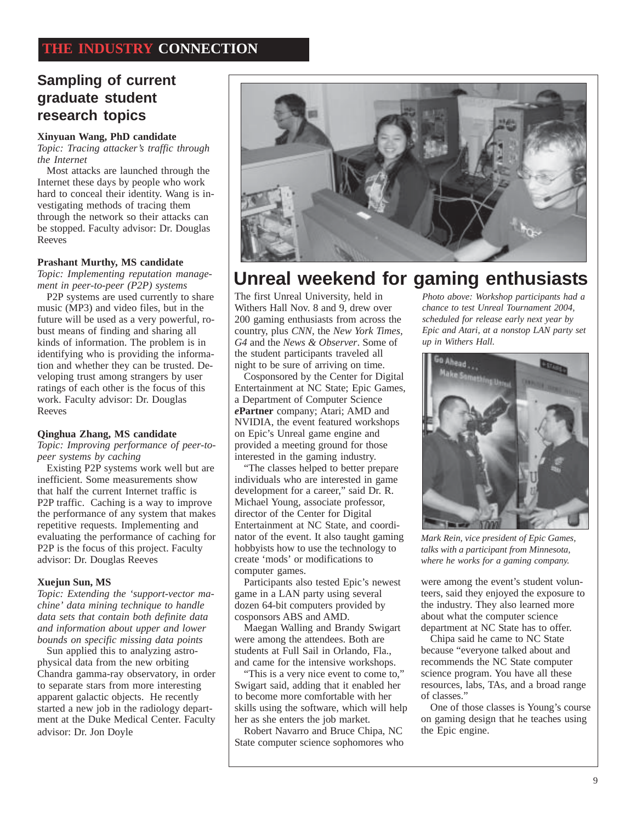### **Sampling of current graduate student research topics**

#### **Xinyuan Wang, PhD candidate**

*Topic: Tracing attacker's traffic through the Internet*

Most attacks are launched through the Internet these days by people who work hard to conceal their identity. Wang is investigating methods of tracing them through the network so their attacks can be stopped. Faculty advisor: Dr. Douglas Reeves

#### **Prashant Murthy, MS candidate**

*Topic: Implementing reputation management in peer-to-peer (P2P) systems*

P2P systems are used currently to share music (MP3) and video files, but in the future will be used as a very powerful, robust means of finding and sharing all kinds of information. The problem is in identifying who is providing the information and whether they can be trusted. Developing trust among strangers by user ratings of each other is the focus of this work. Faculty advisor: Dr. Douglas Reeves

#### **Qinghua Zhang, MS candidate**

*Topic: Improving performance of peer-topeer systems by caching*

Existing P2P systems work well but are inefficient. Some measurements show that half the current Internet traffic is P2P traffic. Caching is a way to improve the performance of any system that makes repetitive requests. Implementing and evaluating the performance of caching for P2P is the focus of this project. Faculty advisor: Dr. Douglas Reeves

#### **Xuejun Sun, MS**

*Topic: Extending the 'support-vector machine' data mining technique to handle data sets that contain both definite data and information about upper and lower bounds on specific missing data points*

Sun applied this to analyzing astrophysical data from the new orbiting Chandra gamma-ray observatory, in order to separate stars from more interesting apparent galactic objects. He recently started a new job in the radiology department at the Duke Medical Center. Faculty advisor: Dr. Jon Doyle



# **Unreal weekend for gaming enthusiasts**

The first Unreal University, held in Withers Hall Nov. 8 and 9, drew over 200 gaming enthusiasts from across the country, plus *CNN*, the *New York Times, G4* and the *News & Observer*. Some of the student participants traveled all night to be sure of arriving on time.

Cosponsored by the Center for Digital Entertainment at NC State; Epic Games, a Department of Computer Science *e***Partner** company; Atari; AMD and NVIDIA, the event featured workshops on Epic's Unreal game engine and provided a meeting ground for those interested in the gaming industry.

"The classes helped to better prepare individuals who are interested in game development for a career," said Dr. R. Michael Young, associate professor, director of the Center for Digital Entertainment at NC State, and coordinator of the event. It also taught gaming hobbyists how to use the technology to create 'mods' or modifications to computer games.

Participants also tested Epic's newest game in a LAN party using several dozen 64-bit computers provided by cosponsors ABS and AMD.

Maegan Walling and Brandy Swigart were among the attendees. Both are students at Full Sail in Orlando, Fla., and came for the intensive workshops.

"This is a very nice event to come to," Swigart said, adding that it enabled her to become more comfortable with her skills using the software, which will help her as she enters the job market.

Robert Navarro and Bruce Chipa, NC State computer science sophomores who

*Photo above: Workshop participants had a chance to test Unreal Tournament 2004, scheduled for release early next year by Epic and Atari, at a nonstop LAN party set up in Withers Hall.*



*Mark Rein, vice president of Epic Games, talks with a participant from Minnesota, where he works for a gaming company.*

were among the event's student volunteers, said they enjoyed the exposure to the industry. They also learned more about what the computer science department at NC State has to offer.

Chipa said he came to NC State because "everyone talked about and recommends the NC State computer science program. You have all these resources, labs, TAs, and a broad range of classes."

One of those classes is Young's course on gaming design that he teaches using the Epic engine.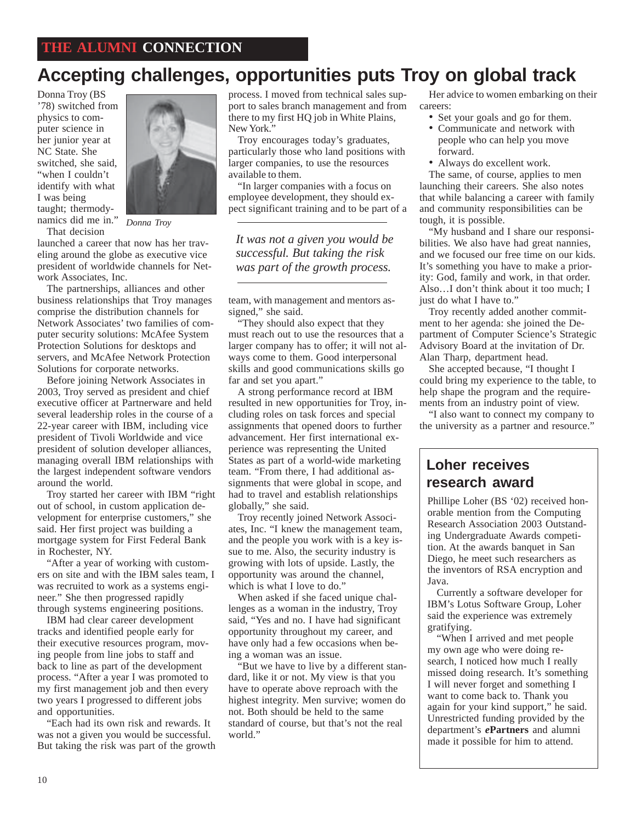# **Accepting challenges, opportunities puts Troy on global track**

Donna Troy (BS '78) switched from physics to computer science in her junior year at NC State. She switched, she said, "when I couldn't identify with what I was being taught; thermodynamics did me in." *Donna Troy*That decision



launched a career that now has her traveling around the globe as executive vice president of worldwide channels for Network Associates, Inc.

The partnerships, alliances and other business relationships that Troy manages comprise the distribution channels for Network Associates' two families of computer security solutions: McAfee System Protection Solutions for desktops and servers, and McAfee Network Protection Solutions for corporate networks.

Before joining Network Associates in 2003, Troy served as president and chief executive officer at Partnerware and held several leadership roles in the course of a 22-year career with IBM, including vice president of Tivoli Worldwide and vice president of solution developer alliances, managing overall IBM relationships with the largest independent software vendors around the world.

Troy started her career with IBM "right out of school, in custom application development for enterprise customers," she said. Her first project was building a mortgage system for First Federal Bank in Rochester, NY.

"After a year of working with customers on site and with the IBM sales team, I was recruited to work as a systems engineer." She then progressed rapidly through systems engineering positions.

IBM had clear career development tracks and identified people early for their executive resources program, moving people from line jobs to staff and back to line as part of the development process. "After a year I was promoted to my first management job and then every two years I progressed to different jobs and opportunities.

"Each had its own risk and rewards. It was not a given you would be successful. But taking the risk was part of the growth process. I moved from technical sales support to sales branch management and from there to my first HQ job in White Plains, New York."

Troy encourages today's graduates, particularly those who land positions with larger companies, to use the resources available to them.

"In larger companies with a focus on employee development, they should expect significant training and to be part of a

*It was not a given you would be successful. But taking the risk was part of the growth process.*

team, with management and mentors assigned," she said.

"They should also expect that they must reach out to use the resources that a larger company has to offer; it will not always come to them. Good interpersonal skills and good communications skills go far and set you apart."

A strong performance record at IBM resulted in new opportunities for Troy, including roles on task forces and special assignments that opened doors to further advancement. Her first international experience was representing the United States as part of a world-wide marketing team. "From there, I had additional assignments that were global in scope, and had to travel and establish relationships globally," she said.

Troy recently joined Network Associates, Inc. "I knew the management team, and the people you work with is a key issue to me. Also, the security industry is growing with lots of upside. Lastly, the opportunity was around the channel, which is what I love to do."

When asked if she faced unique challenges as a woman in the industry, Troy said, "Yes and no. I have had significant opportunity throughout my career, and have only had a few occasions when being a woman was an issue.

"But we have to live by a different standard, like it or not. My view is that you have to operate above reproach with the highest integrity. Men survive; women do not. Both should be held to the same standard of course, but that's not the real world."

Her advice to women embarking on their careers:

- Set your goals and go for them.
- Communicate and network with people who can help you move forward.
- Always do excellent work.

The same, of course, applies to men launching their careers. She also notes that while balancing a career with family and community responsibilities can be tough, it is possible.

"My husband and I share our responsibilities. We also have had great nannies, and we focused our free time on our kids. It's something you have to make a priority: God, family and work, in that order. Also…I don't think about it too much; I just do what I have to."

Troy recently added another commitment to her agenda: she joined the Department of Computer Science's Strategic Advisory Board at the invitation of Dr. Alan Tharp, department head.

She accepted because, "I thought I could bring my experience to the table, to help shape the program and the requirements from an industry point of view.

"I also want to connect my company to the university as a partner and resource."

#### **Loher receives research award**

Phillipe Loher (BS '02) received honorable mention from the Computing Research Association 2003 Outstanding Undergraduate Awards competition. At the awards banquet in San Diego, he meet such researchers as the inventors of RSA encryption and Java.

Currently a software developer for IBM's Lotus Software Group, Loher said the experience was extremely gratifying.

"When I arrived and met people my own age who were doing research, I noticed how much I really missed doing research. It's something I will never forget and something I want to come back to. Thank you again for your kind support," he said. Unrestricted funding provided by the department's *e***Partners** and alumni made it possible for him to attend.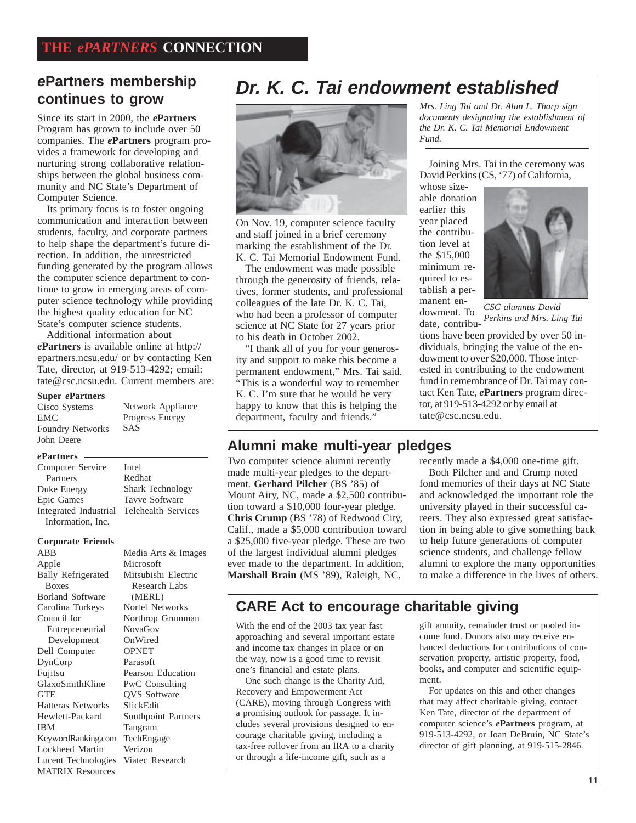#### **ePartners membership continues to grow**

Since its start in 2000, the *e***Partners** Program has grown to include over 50 companies. The *e***Partners** program provides a framework for developing and nurturing strong collaborative relationships between the global business community and NC State's Department of Computer Science.

Its primary focus is to foster ongoing communication and interaction between students, faculty, and corporate partners to help shape the department's future direction. In addition, the unrestricted funding generated by the program allows the computer science department to continue to grow in emerging areas of computer science technology while providing the highest quality education for NC State's computer science students.

Additional information about

*e***Partners** is available online at http:// epartners.ncsu.edu/ or by contacting Ken Tate, director, at 919-513-4292; email: tate@csc.ncsu.edu. Current members are:

| <b>Super ePartners</b> |
|------------------------|
| Cisco Systems          |

| Network Appliance      |
|------------------------|
| <b>Progress Energy</b> |
| <b>SAS</b>             |
|                        |
|                        |

#### *e***Partners**

| Computer Service                          | Intel                   |
|-------------------------------------------|-------------------------|
| Partners                                  | Redhat                  |
| Duke Energy                               | <b>Shark Technology</b> |
| Epic Games                                | <b>Tavve Software</b>   |
| Integrated Industrial Telehealth Services |                         |
| Information, Inc.                         |                         |
|                                           |                         |

#### **Corporate Friends**

KeywordRanking.com TechEngage Lucent Technologies Viatec Research ABB Apple Bally Refrigerated Boxes Borland Software Carolina Turkeys Council for Entrepreneurial Development Dell Computer DynCorp Fujitsu GlaxoSmithKline GTE Hatteras Networks Hewlett-Packard IBM Lockheed Martin MATRIX Resources

Media Arts & Images Microsoft Mitsubishi Electric Research Labs (MERL) Nortel Networks Northrop Grumman NovaGov OnWired **OPNET** Parasoft Pearson Education PwC Consulting QVS Software SlickEdit Southpoint Partners Tangram Verizon

# **Dr. K. C. Tai endowment established**



On Nov. 19, computer science faculty and staff joined in a brief ceremony marking the establishment of the Dr. K. C. Tai Memorial Endowment Fund.

The endowment was made possible through the generosity of friends, relatives, former students, and professional colleagues of the late Dr. K. C. Tai, who had been a professor of computer science at NC State for 27 years prior to his death in October 2002.

"I thank all of you for your generosity and support to make this become a permanent endowment," Mrs. Tai said. "This is a wonderful way to remember K. C. I'm sure that he would be very happy to know that this is helping the department, faculty and friends.'

#### **Alumni make multi-year pledges**

Two computer science alumni recently made multi-year pledges to the department. **Gerhard Pilcher** (BS '85) of Mount Airy, NC, made a \$2,500 contribution toward a \$10,000 four-year pledge. **Chris Crump** (BS '78) of Redwood City, Calif., made a \$5,000 contribution toward a \$25,000 five-year pledge. These are two of the largest individual alumni pledges ever made to the department. In addition, **Marshall Brain** (MS '89), Raleigh, NC,

*Mrs. Ling Tai and Dr. Alan L. Tharp sign documents designating the establishment of the Dr. K. C. Tai Memorial Endowment Fund.*

Joining Mrs. Tai in the ceremony was David Perkins (CS, '77) of California,

whose sizeable donation earlier this year placed the contribution level at the \$15,000 minimum required to establish a permanent endowment. To



date, contribu-*Perkins and Mrs. Ling Tai CSC alumnus David*

tions have been provided by over 50 individuals, bringing the value of the endowment to over \$20,000. Those interested in contributing to the endowment fund in remembrance of Dr. Tai may contact Ken Tate, *e***Partners** program director, at 919-513-4292 or by email at tate@csc.ncsu.edu.

recently made a \$4,000 one-time gift.

Both Pilcher and and Crump noted fond memories of their days at NC State and acknowledged the important role the university played in their successful careers. They also expressed great satisfaction in being able to give something back to help future generations of computer science students, and challenge fellow alumni to explore the many opportunities to make a difference in the lives of others.

#### **CARE Act to encourage charitable giving**

With the end of the 2003 tax year fast approaching and several important estate and income tax changes in place or on the way, now is a good time to revisit one's financial and estate plans.

One such change is the Charity Aid, Recovery and Empowerment Act (CARE), moving through Congress with a promising outlook for passage. It includes several provisions designed to encourage charitable giving, including a tax-free rollover from an IRA to a charity or through a life-income gift, such as a

gift annuity, remainder trust or pooled income fund. Donors also may receive enhanced deductions for contributions of conservation property, artistic property, food, books, and computer and scientific equipment.

For updates on this and other changes that may affect charitable giving, contact Ken Tate, director of the department of computer science's *e***Partners** program, at 919-513-4292, or Joan DeBruin, NC State's director of gift planning, at 919-515-2846.